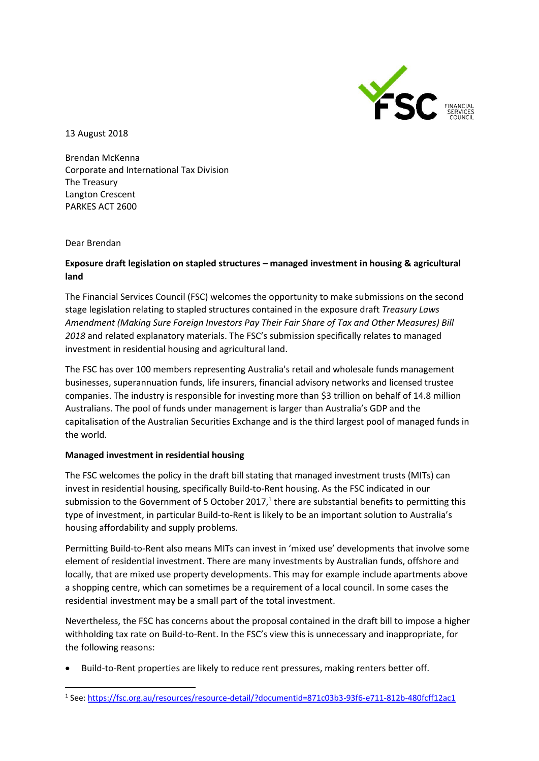

13 August 2018

Brendan McKenna Corporate and International Tax Division The Treasury Langton Crescent PARKES ACT 2600

Dear Brendan

# **Exposure draft legislation on stapled structures – managed investment in housing & agricultural land**

The Financial Services Council (FSC) welcomes the opportunity to make submissions on the second stage legislation relating to stapled structures contained in the exposure draft *Treasury Laws Amendment (Making Sure Foreign Investors Pay Their Fair Share of Tax and Other Measures) Bill 2018* and related explanatory materials. The FSC's submission specifically relates to managed investment in residential housing and agricultural land.

The FSC has over 100 members representing Australia's retail and wholesale funds management businesses, superannuation funds, life insurers, financial advisory networks and licensed trustee companies. The industry is responsible for investing more than \$3 trillion on behalf of 14.8 million Australians. The pool of funds under management is larger than Australia's GDP and the capitalisation of the Australian Securities Exchange and is the third largest pool of managed funds in the world.

## **Managed investment in residential housing**

The FSC welcomes the policy in the draft bill stating that managed investment trusts (MITs) can invest in residential housing, specifically Build-to-Rent housing. As the FSC indicated in our submission to the Government of 5 October 2017, $1$  there are substantial benefits to permitting this type of investment, in particular Build-to-Rent is likely to be an important solution to Australia's housing affordability and supply problems.

Permitting Build-to-Rent also means MITs can invest in 'mixed use' developments that involve some element of residential investment. There are many investments by Australian funds, offshore and locally, that are mixed use property developments. This may for example include apartments above a shopping centre, which can sometimes be a requirement of a local council. In some cases the residential investment may be a small part of the total investment.

Nevertheless, the FSC has concerns about the proposal contained in the draft bill to impose a higher withholding tax rate on Build-to-Rent. In the FSC's view this is unnecessary and inappropriate, for the following reasons:

Build-to-Rent properties are likely to reduce rent pressures, making renters better off.

**<sup>.</sup>** <sup>1</sup> See: https://fsc.org.au/resources/resource-detail/?documentid=871c03b3-93f6-e711-812b-480fcff12ac1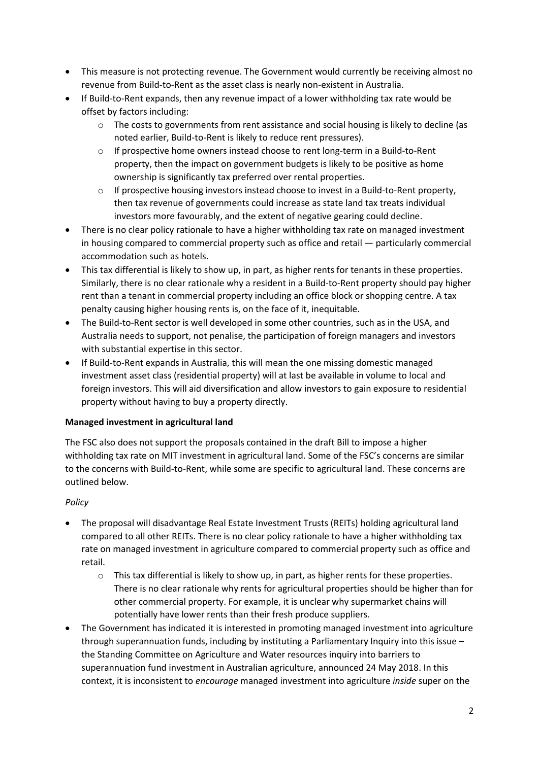- This measure is not protecting revenue. The Government would currently be receiving almost no revenue from Build-to-Rent as the asset class is nearly non-existent in Australia.
- If Build-to-Rent expands, then any revenue impact of a lower withholding tax rate would be offset by factors including:
	- $\circ$  The costs to governments from rent assistance and social housing is likely to decline (as noted earlier, Build-to-Rent is likely to reduce rent pressures).
	- o If prospective home owners instead choose to rent long-term in a Build-to-Rent property, then the impact on government budgets is likely to be positive as home ownership is significantly tax preferred over rental properties.
	- o If prospective housing investors instead choose to invest in a Build-to-Rent property, then tax revenue of governments could increase as state land tax treats individual investors more favourably, and the extent of negative gearing could decline.
- There is no clear policy rationale to have a higher withholding tax rate on managed investment in housing compared to commercial property such as office and retail — particularly commercial accommodation such as hotels.
- This tax differential is likely to show up, in part, as higher rents for tenants in these properties. Similarly, there is no clear rationale why a resident in a Build-to-Rent property should pay higher rent than a tenant in commercial property including an office block or shopping centre. A tax penalty causing higher housing rents is, on the face of it, inequitable.
- The Build-to-Rent sector is well developed in some other countries, such as in the USA, and Australia needs to support, not penalise, the participation of foreign managers and investors with substantial expertise in this sector.
- If Build-to-Rent expands in Australia, this will mean the one missing domestic managed investment asset class (residential property) will at last be available in volume to local and foreign investors. This will aid diversification and allow investors to gain exposure to residential property without having to buy a property directly.

# **Managed investment in agricultural land**

The FSC also does not support the proposals contained in the draft Bill to impose a higher withholding tax rate on MIT investment in agricultural land. Some of the FSC's concerns are similar to the concerns with Build-to-Rent, while some are specific to agricultural land. These concerns are outlined below.

## *Policy*

- The proposal will disadvantage Real Estate Investment Trusts (REITs) holding agricultural land compared to all other REITs. There is no clear policy rationale to have a higher withholding tax rate on managed investment in agriculture compared to commercial property such as office and retail.
	- $\circ$  This tax differential is likely to show up, in part, as higher rents for these properties. There is no clear rationale why rents for agricultural properties should be higher than for other commercial property. For example, it is unclear why supermarket chains will potentially have lower rents than their fresh produce suppliers.
- The Government has indicated it is interested in promoting managed investment into agriculture through superannuation funds, including by instituting a Parliamentary Inquiry into this issue – the Standing Committee on Agriculture and Water resources inquiry into barriers to superannuation fund investment in Australian agriculture, announced 24 May 2018. In this context, it is inconsistent to *encourage* managed investment into agriculture *inside* super on the